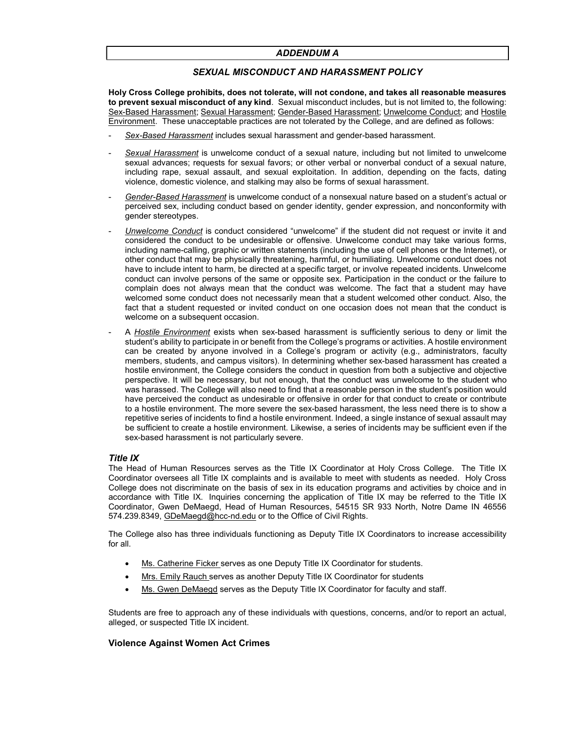# ADDENDUM A

# SEXUAL MISCONDUCT AND HARASSMENT POLICY

Holy Cross College prohibits, does not tolerate, will not condone, and takes all reasonable measures to prevent sexual misconduct of any kind. Sexual misconduct includes, but is not limited to, the following: Sex-Based Harassment; Sexual Harassment; Gender-Based Harassment; Unwelcome Conduct; and Hostile Environment. These unacceptable practices are not tolerated by the College, and are defined as follows:

- Sex-Based Harassment includes sexual harassment and gender-based harassment.
- Sexual Harassment is unwelcome conduct of a sexual nature, including but not limited to unwelcome sexual advances; requests for sexual favors; or other verbal or nonverbal conduct of a sexual nature, including rape, sexual assault, and sexual exploitation. In addition, depending on the facts, dating violence, domestic violence, and stalking may also be forms of sexual harassment.
- Gender-Based Harassment is unwelcome conduct of a nonsexual nature based on a student's actual or perceived sex, including conduct based on gender identity, gender expression, and nonconformity with gender stereotypes.
- Unwelcome Conduct is conduct considered "unwelcome" if the student did not request or invite it and considered the conduct to be undesirable or offensive. Unwelcome conduct may take various forms, including name-calling, graphic or written statements (including the use of cell phones or the Internet), or other conduct that may be physically threatening, harmful, or humiliating. Unwelcome conduct does not have to include intent to harm, be directed at a specific target, or involve repeated incidents. Unwelcome conduct can involve persons of the same or opposite sex. Participation in the conduct or the failure to complain does not always mean that the conduct was welcome. The fact that a student may have welcomed some conduct does not necessarily mean that a student welcomed other conduct. Also, the fact that a student requested or invited conduct on one occasion does not mean that the conduct is welcome on a subsequent occasion.
- A Hostile Environment exists when sex-based harassment is sufficiently serious to deny or limit the student's ability to participate in or benefit from the College's programs or activities. A hostile environment can be created by anyone involved in a College's program or activity (e.g., administrators, faculty members, students, and campus visitors). In determining whether sex-based harassment has created a hostile environment, the College considers the conduct in question from both a subjective and objective perspective. It will be necessary, but not enough, that the conduct was unwelcome to the student who was harassed. The College will also need to find that a reasonable person in the student's position would have perceived the conduct as undesirable or offensive in order for that conduct to create or contribute to a hostile environment. The more severe the sex-based harassment, the less need there is to show a repetitive series of incidents to find a hostile environment. Indeed, a single instance of sexual assault may be sufficient to create a hostile environment. Likewise, a series of incidents may be sufficient even if the sex-based harassment is not particularly severe.

## Title IX

The Head of Human Resources serves as the Title IX Coordinator at Holy Cross College. The Title IX Coordinator oversees all Title IX complaints and is available to meet with students as needed. Holy Cross College does not discriminate on the basis of sex in its education programs and activities by choice and in accordance with Title IX. Inquiries concerning the application of Title IX may be referred to the Title IX Coordinator, Gwen DeMaegd, Head of Human Resources, 54515 SR 933 North, Notre Dame IN 46556 574.239.8349, GDeMaegd@hcc-nd.edu or to the Office of Civil Rights.

The College also has three individuals functioning as Deputy Title IX Coordinators to increase accessibility for all.

- Ms. Catherine Ficker serves as one Deputy Title IX Coordinator for students.
- Mrs. Emily Rauch serves as another Deputy Title IX Coordinator for students
- Ms. Gwen DeMaegd serves as the Deputy Title IX Coordinator for faculty and staff.

Students are free to approach any of these individuals with questions, concerns, and/or to report an actual, alleged, or suspected Title IX incident.

## Violence Against Women Act Crimes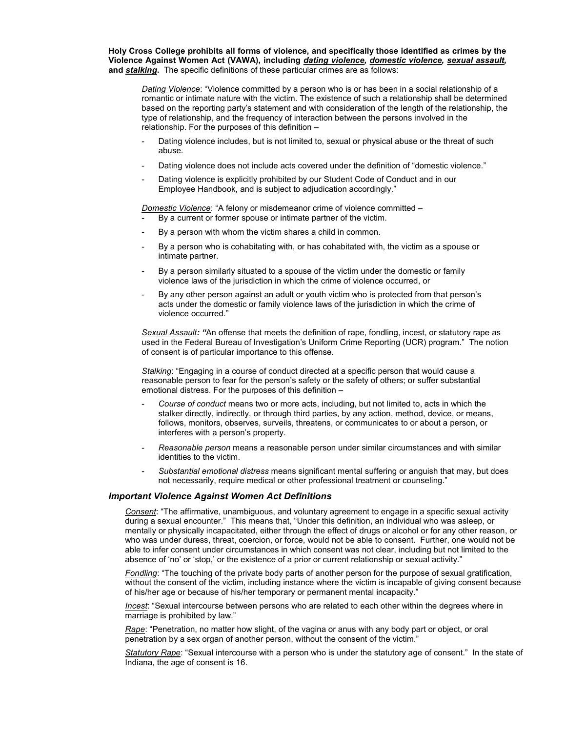Holy Cross College prohibits all forms of violence, and specifically those identified as crimes by the Violence Against Women Act (VAWA), including dating violence, domestic violence, sexual assault, and stalking. The specific definitions of these particular crimes are as follows:

Dating Violence: "Violence committed by a person who is or has been in a social relationship of a romantic or intimate nature with the victim. The existence of such a relationship shall be determined based on the reporting party's statement and with consideration of the length of the relationship, the type of relationship, and the frequency of interaction between the persons involved in the relationship. For the purposes of this definition –

- Dating violence includes, but is not limited to, sexual or physical abuse or the threat of such abuse.
- Dating violence does not include acts covered under the definition of "domestic violence."
- Dating violence is explicitly prohibited by our Student Code of Conduct and in our Employee Handbook, and is subject to adjudication accordingly."

Domestic Violence: "A felony or misdemeanor crime of violence committed -

- By a current or former spouse or intimate partner of the victim.
- By a person with whom the victim shares a child in common.
- By a person who is cohabitating with, or has cohabitated with, the victim as a spouse or intimate partner.
- By a person similarly situated to a spouse of the victim under the domestic or family violence laws of the jurisdiction in which the crime of violence occurred, or
- By any other person against an adult or youth victim who is protected from that person's acts under the domestic or family violence laws of the jurisdiction in which the crime of violence occurred."

Sexual Assault: "An offense that meets the definition of rape, fondling, incest, or statutory rape as used in the Federal Bureau of Investigation's Uniform Crime Reporting (UCR) program." The notion of consent is of particular importance to this offense.

Stalking: "Engaging in a course of conduct directed at a specific person that would cause a reasonable person to fear for the person's safety or the safety of others; or suffer substantial emotional distress. For the purposes of this definition –

- Course of conduct means two or more acts, including, but not limited to, acts in which the stalker directly, indirectly, or through third parties, by any action, method, device, or means, follows, monitors, observes, surveils, threatens, or communicates to or about a person, or interferes with a person's property.
- Reasonable person means a reasonable person under similar circumstances and with similar identities to the victim.
- Substantial emotional distress means significant mental suffering or anguish that may, but does not necessarily, require medical or other professional treatment or counseling."

#### Important Violence Against Women Act Definitions

Consent: "The affirmative, unambiguous, and voluntary agreement to engage in a specific sexual activity during a sexual encounter." This means that, "Under this definition, an individual who was asleep, or mentally or physically incapacitated, either through the effect of drugs or alcohol or for any other reason, or who was under duress, threat, coercion, or force, would not be able to consent. Further, one would not be able to infer consent under circumstances in which consent was not clear, including but not limited to the absence of 'no' or 'stop,' or the existence of a prior or current relationship or sexual activity."

Fondling: "The touching of the private body parts of another person for the purpose of sexual gratification, without the consent of the victim, including instance where the victim is incapable of giving consent because of his/her age or because of his/her temporary or permanent mental incapacity."

**Incest:** "Sexual intercourse between persons who are related to each other within the degrees where in marriage is prohibited by law."

Rape: "Penetration, no matter how slight, of the vagina or anus with any body part or object, or oral penetration by a sex organ of another person, without the consent of the victim."

Statutory Rape: "Sexual intercourse with a person who is under the statutory age of consent." In the state of Indiana, the age of consent is 16.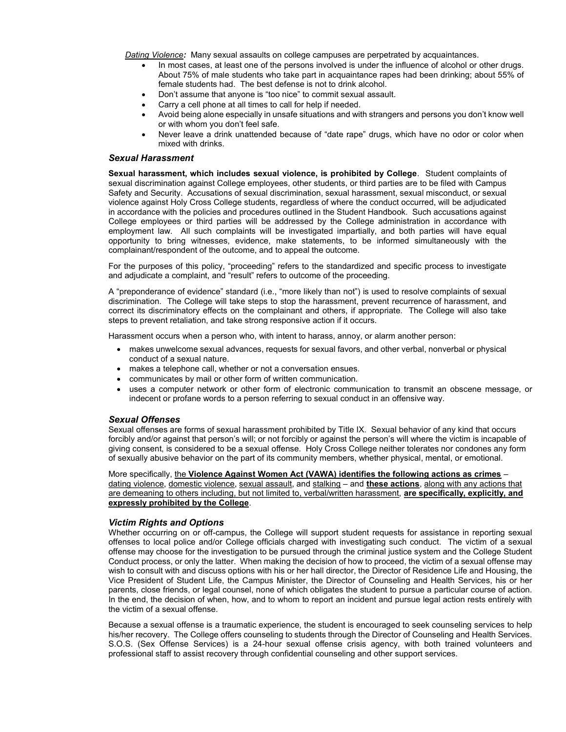Dating Violence: Many sexual assaults on college campuses are perpetrated by acquaintances.

- In most cases, at least one of the persons involved is under the influence of alcohol or other drugs. About 75% of male students who take part in acquaintance rapes had been drinking; about 55% of female students had. The best defense is not to drink alcohol.
- Don't assume that anyone is "too nice" to commit sexual assault.
- Carry a cell phone at all times to call for help if needed.
- Avoid being alone especially in unsafe situations and with strangers and persons you don't know well or with whom you don't feel safe.
- Never leave a drink unattended because of "date rape" drugs, which have no odor or color when mixed with drinks.

### Sexual Harassment

Sexual harassment, which includes sexual violence, is prohibited by College. Student complaints of sexual discrimination against College employees, other students, or third parties are to be filed with Campus Safety and Security. Accusations of sexual discrimination, sexual harassment, sexual misconduct, or sexual violence against Holy Cross College students, regardless of where the conduct occurred, will be adjudicated in accordance with the policies and procedures outlined in the Student Handbook. Such accusations against College employees or third parties will be addressed by the College administration in accordance with employment law. All such complaints will be investigated impartially, and both parties will have equal opportunity to bring witnesses, evidence, make statements, to be informed simultaneously with the complainant/respondent of the outcome, and to appeal the outcome.

For the purposes of this policy, "proceeding" refers to the standardized and specific process to investigate and adjudicate a complaint, and "result" refers to outcome of the proceeding.

A "preponderance of evidence" standard (i.e., "more likely than not") is used to resolve complaints of sexual discrimination. The College will take steps to stop the harassment, prevent recurrence of harassment, and correct its discriminatory effects on the complainant and others, if appropriate. The College will also take steps to prevent retaliation, and take strong responsive action if it occurs.

Harassment occurs when a person who, with intent to harass, annoy, or alarm another person:

- makes unwelcome sexual advances, requests for sexual favors, and other verbal, nonverbal or physical conduct of a sexual nature.
- makes a telephone call, whether or not a conversation ensues.
- communicates by mail or other form of written communication.
- uses a computer network or other form of electronic communication to transmit an obscene message, or indecent or profane words to a person referring to sexual conduct in an offensive way.

#### Sexual Offenses

Sexual offenses are forms of sexual harassment prohibited by Title IX. Sexual behavior of any kind that occurs forcibly and/or against that person's will; or not forcibly or against the person's will where the victim is incapable of giving consent, is considered to be a sexual offense. Holy Cross College neither tolerates nor condones any form of sexually abusive behavior on the part of its community members, whether physical, mental, or emotional.

More specifically, the Violence Against Women Act (VAWA) identifies the following actions as crimes dating violence, domestic violence, sexual assault, and stalking – and these actions, along with any actions that are demeaning to others including, but not limited to, verbal/written harassment, are specifically, explicitly, and expressly prohibited by the College.

#### Victim Rights and Options

Whether occurring on or off-campus, the College will support student requests for assistance in reporting sexual offenses to local police and/or College officials charged with investigating such conduct. The victim of a sexual offense may choose for the investigation to be pursued through the criminal justice system and the College Student Conduct process, or only the latter. When making the decision of how to proceed, the victim of a sexual offense may wish to consult with and discuss options with his or her hall director, the Director of Residence Life and Housing, the Vice President of Student Life, the Campus Minister, the Director of Counseling and Health Services, his or her parents, close friends, or legal counsel, none of which obligates the student to pursue a particular course of action. In the end, the decision of when, how, and to whom to report an incident and pursue legal action rests entirely with the victim of a sexual offense.

Because a sexual offense is a traumatic experience, the student is encouraged to seek counseling services to help his/her recovery. The College offers counseling to students through the Director of Counseling and Health Services. S.O.S. (Sex Offense Services) is a 24-hour sexual offense crisis agency, with both trained volunteers and professional staff to assist recovery through confidential counseling and other support services.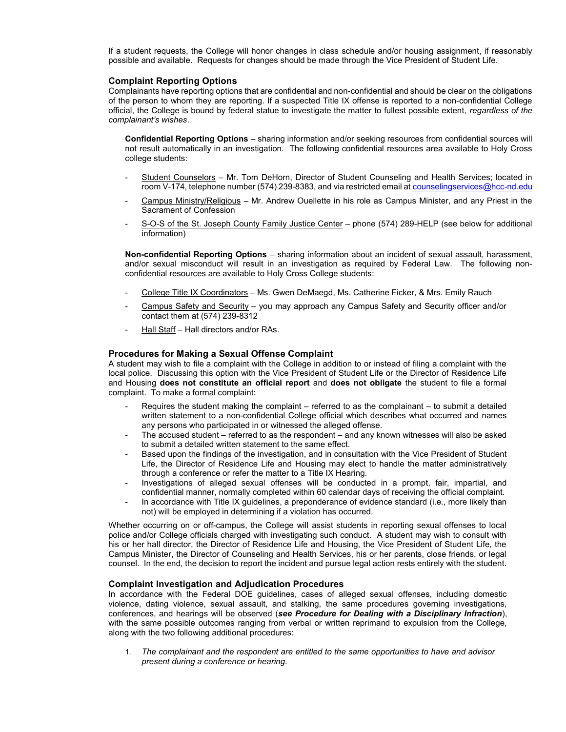If a student requests, the College will honor changes in class schedule and/or housing assignment, if reasonably possible and available. Requests for changes should be made through the Vice President of Student Life.

## Complaint Reporting Options

Complainants have reporting options that are confidential and non-confidential and should be clear on the obligations of the person to whom they are reporting. If a suspected Title IX offense is reported to a non-confidential College official, the College is bound by federal statue to investigate the matter to fullest possible extent, regardless of the complainant's wishes.

Confidential Reporting Options – sharing information and/or seeking resources from confidential sources will not result automatically in an investigation. The following confidential resources area available to Holy Cross college students:

- Student Counselors Mr. Tom DeHorn, Director of Student Counseling and Health Services; located in room V-174, telephone number (574) 239-8383, and via restricted email at counselingservices@hcc-nd.edu
- Campus Ministry/Religious Mr. Andrew Ouellette in his role as Campus Minister, and any Priest in the Sacrament of Confession
- S-O-S of the St. Joseph County Family Justice Center phone (574) 289-HELP (see below for additional information)

Non-confidential Reporting Options – sharing information about an incident of sexual assault, harassment, and/or sexual misconduct will result in an investigation as required by Federal Law. The following nonconfidential resources are available to Holy Cross College students:

- College Title IX Coordinators Ms. Gwen DeMaegd, Ms. Catherine Ficker, & Mrs. Emily Rauch
- Campus Safety and Security you may approach any Campus Safety and Security officer and/or contact them at (574) 239-8312
- Hall Staff Hall directors and/or RAs.

## Procedures for Making a Sexual Offense Complaint

A student may wish to file a complaint with the College in addition to or instead of filing a complaint with the local police. Discussing this option with the Vice President of Student Life or the Director of Residence Life and Housing does not constitute an official report and does not obligate the student to file a formal complaint. To make a formal complaint:

- Requires the student making the complaint referred to as the complainant  $-$  to submit a detailed written statement to a non-confidential College official which describes what occurred and names any persons who participated in or witnessed the alleged offense.
- The accused student referred to as the respondent and any known witnesses will also be asked to submit a detailed written statement to the same effect.
- Based upon the findings of the investigation, and in consultation with the Vice President of Student Life, the Director of Residence Life and Housing may elect to handle the matter administratively through a conference or refer the matter to a Title IX Hearing.
- Investigations of alleged sexual offenses will be conducted in a prompt, fair, impartial, and confidential manner, normally completed within 60 calendar days of receiving the official complaint.
- In accordance with Title IX guidelines, a preponderance of evidence standard (i.e., more likely than not) will be employed in determining if a violation has occurred.

Whether occurring on or off-campus, the College will assist students in reporting sexual offenses to local police and/or College officials charged with investigating such conduct. A student may wish to consult with his or her hall director, the Director of Residence Life and Housing, the Vice President of Student Life, the Campus Minister, the Director of Counseling and Health Services, his or her parents, close friends, or legal counsel. In the end, the decision to report the incident and pursue legal action rests entirely with the student.

### Complaint Investigation and Adjudication Procedures

In accordance with the Federal DOE guidelines, cases of alleged sexual offenses, including domestic violence, dating violence, sexual assault, and stalking, the same procedures governing investigations, conferences, and hearings will be observed (see Procedure for Dealing with a Disciplinary Infraction), with the same possible outcomes ranging from verbal or written reprimand to expulsion from the College, along with the two following additional procedures:

1. The complainant and the respondent are entitled to the same opportunities to have and advisor present during a conference or hearing.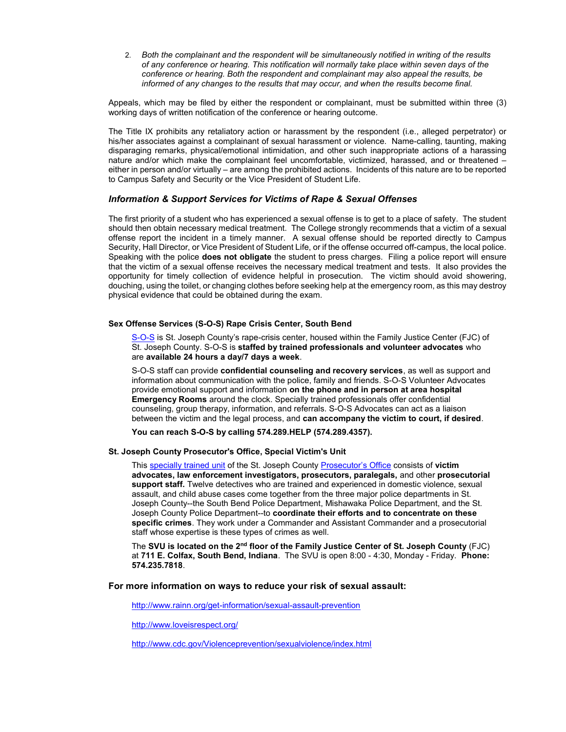2. Both the complainant and the respondent will be simultaneously notified in writing of the results of any conference or hearing. This notification will normally take place within seven days of the conference or hearing. Both the respondent and complainant may also appeal the results, be informed of any changes to the results that may occur, and when the results become final.

Appeals, which may be filed by either the respondent or complainant, must be submitted within three (3) working days of written notification of the conference or hearing outcome.

The Title IX prohibits any retaliatory action or harassment by the respondent (i.e., alleged perpetrator) or his/her associates against a complainant of sexual harassment or violence. Name-calling, taunting, making disparaging remarks, physical/emotional intimidation, and other such inappropriate actions of a harassing nature and/or which make the complainant feel uncomfortable, victimized, harassed, and or threatened – either in person and/or virtually – are among the prohibited actions. Incidents of this nature are to be reported to Campus Safety and Security or the Vice President of Student Life.

## Information & Support Services for Victims of Rape & Sexual Offenses

The first priority of a student who has experienced a sexual offense is to get to a place of safety. The student should then obtain necessary medical treatment. The College strongly recommends that a victim of a sexual offense report the incident in a timely manner. A sexual offense should be reported directly to Campus Security, Hall Director, or Vice President of Student Life, or if the offense occurred off-campus, the local police. Speaking with the police **does not obligate** the student to press charges. Filing a police report will ensure that the victim of a sexual offense receives the necessary medical treatment and tests. It also provides the opportunity for timely collection of evidence helpful in prosecution. The victim should avoid showering, douching, using the toilet, or changing clothes before seeking help at the emergency room, as this may destroy physical evidence that could be obtained during the exam.

### Sex Offense Services (S-O-S) Rape Crisis Center, South Bend

S-O-S is St. Joseph County's rape-crisis center, housed within the Family Justice Center (FJC) of St. Joseph County. S-O-S is staffed by trained professionals and volunteer advocates who are available 24 hours a day/7 days a week.

S-O-S staff can provide confidential counseling and recovery services, as well as support and information about communication with the police, family and friends. S-O-S Volunteer Advocates provide emotional support and information on the phone and in person at area hospital Emergency Rooms around the clock. Specially trained professionals offer confidential counseling, group therapy, information, and referrals. S-O-S Advocates can act as a liaison between the victim and the legal process, and can accompany the victim to court, if desired.

You can reach S-O-S by calling 574.289.HELP (574.289.4357).

#### St. Joseph County Prosecutor's Office, Special Victim's Unit

This specially trained unit of the St. Joseph County Prosecutor's Office consists of victim advocates, law enforcement investigators, prosecutors, paralegals, and other prosecutorial support staff. Twelve detectives who are trained and experienced in domestic violence, sexual assault, and child abuse cases come together from the three major police departments in St. Joseph County--the South Bend Police Department, Mishawaka Police Department, and the St. Joseph County Police Department--to coordinate their efforts and to concentrate on these specific crimes. They work under a Commander and Assistant Commander and a prosecutorial staff whose expertise is these types of crimes as well.

The SVU is located on the 2<sup>nd</sup> floor of the Family Justice Center of St. Joseph County (FJC) at 711 E. Colfax, South Bend, Indiana. The SVU is open 8:00 - 4:30, Monday - Friday. Phone: 574.235.7818.

For more information on ways to reduce your risk of sexual assault:

http://www.rainn.org/get-information/sexual-assault-prevention

http://www.loveisrespect.org/

http://www.cdc.gov/Violenceprevention/sexualviolence/index.html